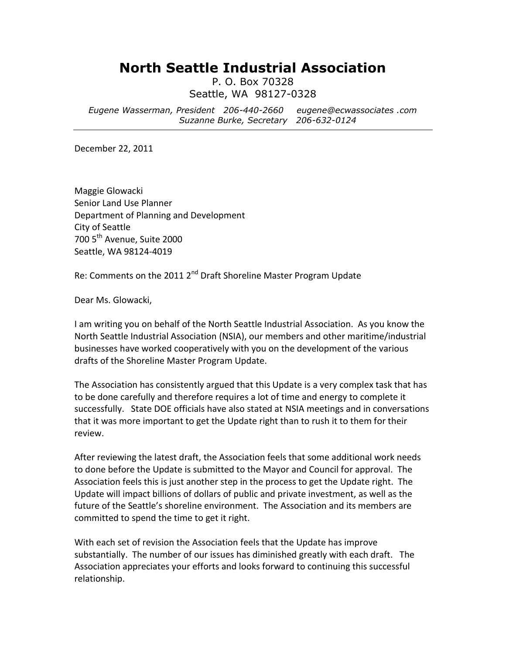## **North Seattle Industrial Association**

P. O. Box 70328 Seattle, WA 98127-0328

*Eugene Wasserman, President 206-440-2660 eugene@ecwassociates .com Suzanne Burke, Secretary 206-632-0124*

December 22, 2011

Maggie Glowacki Senior Land Use Planner Department of Planning and Development City of Seattle 700 5<sup>th</sup> Avenue, Suite 2000 Seattle, WA 98124-4019

Re: Comments on the 2011 2<sup>nd</sup> Draft Shoreline Master Program Update

Dear Ms. Glowacki,

I am writing you on behalf of the North Seattle Industrial Association. As you know the North Seattle Industrial Association (NSIA), our members and other maritime/industrial businesses have worked cooperatively with you on the development of the various drafts of the Shoreline Master Program Update.

The Association has consistently argued that this Update is a very complex task that has to be done carefully and therefore requires a lot of time and energy to complete it successfully. State DOE officials have also stated at NSIA meetings and in conversations that it was more important to get the Update right than to rush it to them for their review.

After reviewing the latest draft, the Association feels that some additional work needs to done before the Update is submitted to the Mayor and Council for approval. The Association feels this is just another step in the process to get the Update right. The Update will impact billions of dollars of public and private investment, as well as the future of the Seattle's shoreline environment. The Association and its members are committed to spend the time to get it right.

With each set of revision the Association feels that the Update has improve substantially. The number of our issues has diminished greatly with each draft. The Association appreciates your efforts and looks forward to continuing this successful relationship.